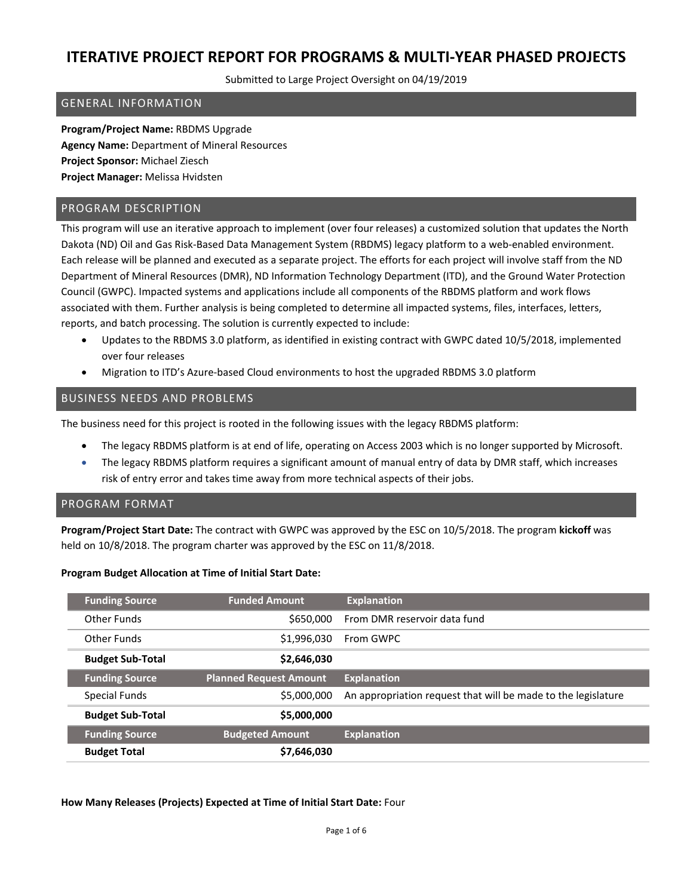Submitted to Large Project Oversight on 04/19/2019

### GENERAL INFORMATION

**Program/Project Name:** RBDMS Upgrade **Agency Name:** Department of Mineral Resources **Project Sponsor:** Michael Ziesch **Project Manager:** Melissa Hvidsten

### PROGRAM DESCRIPTION

This program will use an iterative approach to implement (over four releases) a customized solution that updates the North Dakota (ND) Oil and Gas Risk-Based Data Management System (RBDMS) legacy platform to a web-enabled environment. Each release will be planned and executed as a separate project. The efforts for each project will involve staff from the ND Department of Mineral Resources (DMR), ND Information Technology Department (ITD), and the Ground Water Protection Council (GWPC). Impacted systems and applications include all components of the RBDMS platform and work flows associated with them. Further analysis is being completed to determine all impacted systems, files, interfaces, letters, reports, and batch processing. The solution is currently expected to include:

- Updates to the RBDMS 3.0 platform, as identified in existing contract with GWPC dated 10/5/2018, implemented over four releases
- Migration to ITD's Azure-based Cloud environments to host the upgraded RBDMS 3.0 platform

### BUSINESS NEEDS AND PROBLEMS

The business need for this project is rooted in the following issues with the legacy RBDMS platform:

- The legacy RBDMS platform is at end of life, operating on Access 2003 which is no longer supported by Microsoft.
- The legacy RBDMS platform requires a significant amount of manual entry of data by DMR staff, which increases risk of entry error and takes time away from more technical aspects of their jobs.

#### PROGRAM FORMAT

**Program/Project Start Date:** The contract with GWPC was approved by the ESC on 10/5/2018. The program **kickoff** was held on 10/8/2018. The program charter was approved by the ESC on 11/8/2018.

#### **Program Budget Allocation at Time of Initial Start Date:**

| <b>Funding Source</b>   | <b>Funded Amount</b>          | <b>Explanation</b>                                            |
|-------------------------|-------------------------------|---------------------------------------------------------------|
| Other Funds             | \$650,000                     | From DMR reservoir data fund                                  |
| Other Funds             | \$1,996,030                   | From GWPC                                                     |
| <b>Budget Sub-Total</b> | \$2,646,030                   |                                                               |
|                         |                               |                                                               |
| <b>Funding Source</b>   | <b>Planned Request Amount</b> | <b>Explanation</b>                                            |
| Special Funds           | \$5,000,000                   | An appropriation request that will be made to the legislature |
| <b>Budget Sub-Total</b> | \$5,000,000                   |                                                               |
| <b>Funding Source</b>   | <b>Budgeted Amount</b>        | <b>Explanation</b>                                            |

**How Many Releases (Projects) Expected at Time of Initial Start Date:** Four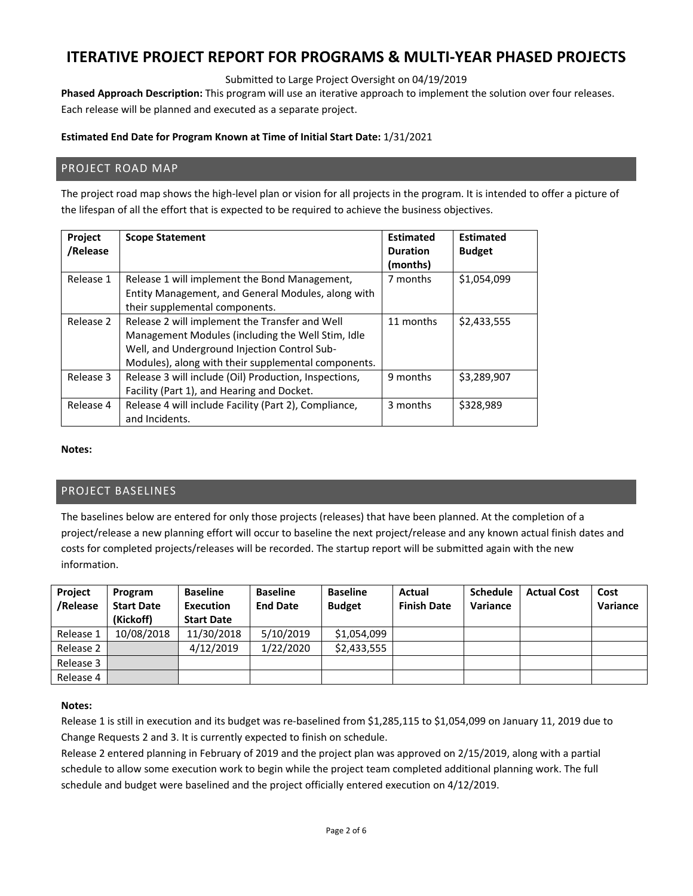Submitted to Large Project Oversight on 04/19/2019

**Phased Approach Description:** This program will use an iterative approach to implement the solution over four releases. Each release will be planned and executed as a separate project.

### **Estimated End Date for Program Known at Time of Initial Start Date:** 1/31/2021

### PROJECT ROAD MAP

The project road map shows the high-level plan or vision for all projects in the program. It is intended to offer a picture of the lifespan of all the effort that is expected to be required to achieve the business objectives.

| Project<br>/Release | <b>Scope Statement</b>                                                                                                                                                                                     | <b>Estimated</b><br><b>Duration</b><br>(months) | <b>Estimated</b><br><b>Budget</b> |
|---------------------|------------------------------------------------------------------------------------------------------------------------------------------------------------------------------------------------------------|-------------------------------------------------|-----------------------------------|
| Release 1           | Release 1 will implement the Bond Management,<br>Entity Management, and General Modules, along with<br>their supplemental components.                                                                      | 7 months                                        | \$1,054,099                       |
| Release 2           | Release 2 will implement the Transfer and Well<br>Management Modules (including the Well Stim, Idle<br>Well, and Underground Injection Control Sub-<br>Modules), along with their supplemental components. | 11 months                                       | \$2,433,555                       |
| Release 3           | Release 3 will include (Oil) Production, Inspections,<br>Facility (Part 1), and Hearing and Docket.                                                                                                        | 9 months                                        | \$3,289,907                       |
| Release 4           | Release 4 will include Facility (Part 2), Compliance,<br>and Incidents.                                                                                                                                    | 3 months                                        | \$328,989                         |

#### **Notes:**

### PROJECT BASELINES

The baselines below are entered for only those projects (releases) that have been planned. At the completion of a project/release a new planning effort will occur to baseline the next project/release and any known actual finish dates and costs for completed projects/releases will be recorded. The startup report will be submitted again with the new information.

| Project<br>/Release | Program<br><b>Start Date</b><br>(Kickoff) | <b>Baseline</b><br>Execution<br><b>Start Date</b> | <b>Baseline</b><br><b>End Date</b> | <b>Baseline</b><br><b>Budget</b> | Actual<br><b>Finish Date</b> | <b>Schedule</b><br>Variance | <b>Actual Cost</b> | Cost<br>Variance |
|---------------------|-------------------------------------------|---------------------------------------------------|------------------------------------|----------------------------------|------------------------------|-----------------------------|--------------------|------------------|
| Release 1           | 10/08/2018                                | 11/30/2018                                        | 5/10/2019                          | \$1,054,099                      |                              |                             |                    |                  |
|                     |                                           |                                                   |                                    |                                  |                              |                             |                    |                  |
| Release 2           |                                           | 4/12/2019                                         | 1/22/2020                          | \$2,433,555                      |                              |                             |                    |                  |
| Release 3           |                                           |                                                   |                                    |                                  |                              |                             |                    |                  |
| Release 4           |                                           |                                                   |                                    |                                  |                              |                             |                    |                  |

#### **Notes:**

Release 1 is still in execution and its budget was re‐baselined from \$1,285,115 to \$1,054,099 on January 11, 2019 due to Change Requests 2 and 3. It is currently expected to finish on schedule.

Release 2 entered planning in February of 2019 and the project plan was approved on 2/15/2019, along with a partial schedule to allow some execution work to begin while the project team completed additional planning work. The full schedule and budget were baselined and the project officially entered execution on 4/12/2019.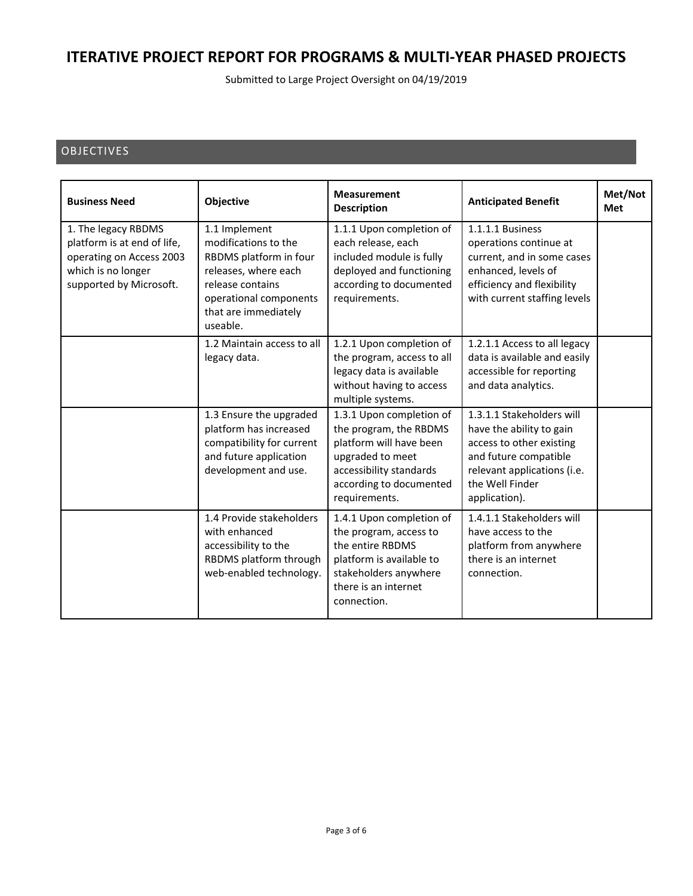Submitted to Large Project Oversight on 04/19/2019

## OBJECTIVES

| <b>Business Need</b>                                                                                                            | Objective                                                                                                                                                                 | <b>Measurement</b><br><b>Description</b>                                                                                                                                 | <b>Anticipated Benefit</b>                                                                                                                                                    | Met/Not<br><b>Met</b> |
|---------------------------------------------------------------------------------------------------------------------------------|---------------------------------------------------------------------------------------------------------------------------------------------------------------------------|--------------------------------------------------------------------------------------------------------------------------------------------------------------------------|-------------------------------------------------------------------------------------------------------------------------------------------------------------------------------|-----------------------|
| 1. The legacy RBDMS<br>platform is at end of life,<br>operating on Access 2003<br>which is no longer<br>supported by Microsoft. | 1.1 Implement<br>modifications to the<br>RBDMS platform in four<br>releases, where each<br>release contains<br>operational components<br>that are immediately<br>useable. | 1.1.1 Upon completion of<br>each release, each<br>included module is fully<br>deployed and functioning<br>according to documented<br>requirements.                       | 1.1.1.1 Business<br>operations continue at<br>current, and in some cases<br>enhanced, levels of<br>efficiency and flexibility<br>with current staffing levels                 |                       |
|                                                                                                                                 | 1.2 Maintain access to all<br>legacy data.                                                                                                                                | 1.2.1 Upon completion of<br>the program, access to all<br>legacy data is available<br>without having to access<br>multiple systems.                                      | 1.2.1.1 Access to all legacy<br>data is available and easily<br>accessible for reporting<br>and data analytics.                                                               |                       |
|                                                                                                                                 | 1.3 Ensure the upgraded<br>platform has increased<br>compatibility for current<br>and future application<br>development and use.                                          | 1.3.1 Upon completion of<br>the program, the RBDMS<br>platform will have been<br>upgraded to meet<br>accessibility standards<br>according to documented<br>requirements. | 1.3.1.1 Stakeholders will<br>have the ability to gain<br>access to other existing<br>and future compatible<br>relevant applications (i.e.<br>the Well Finder<br>application). |                       |
|                                                                                                                                 | 1.4 Provide stakeholders<br>with enhanced<br>accessibility to the<br>RBDMS platform through<br>web-enabled technology.                                                    | 1.4.1 Upon completion of<br>the program, access to<br>the entire RBDMS<br>platform is available to<br>stakeholders anywhere<br>there is an internet<br>connection.       | 1.4.1.1 Stakeholders will<br>have access to the<br>platform from anywhere<br>there is an internet<br>connection.                                                              |                       |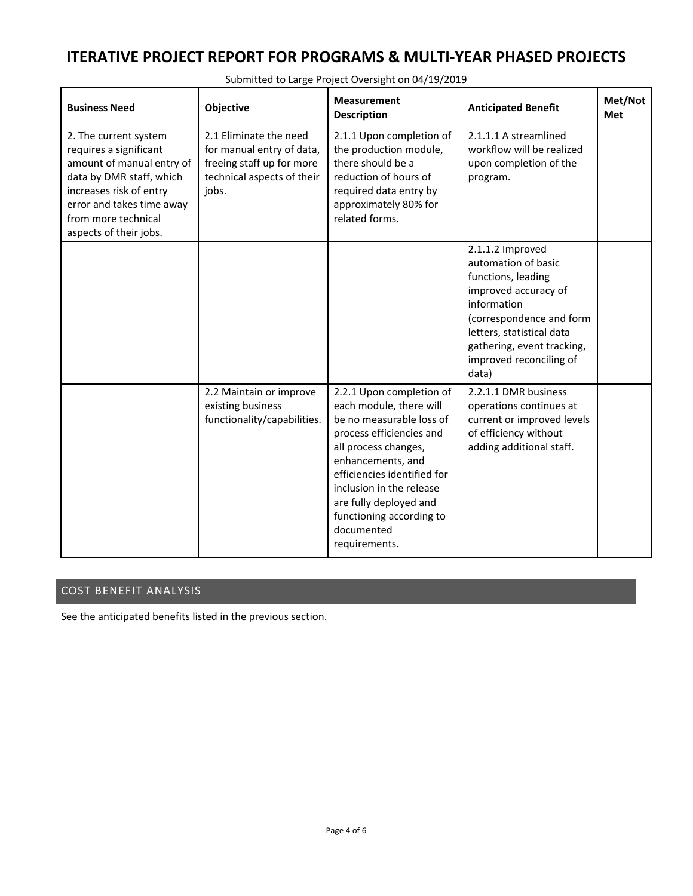| <b>Business Need</b>                                                                                                                                                                                              | Objective                                                                                                               | <b>Measurement</b><br><b>Description</b>                                                                                                                                                                                                                                                                 | <b>Anticipated Benefit</b>                                                                                                                                                                                                      | Met/Not<br><b>Met</b> |
|-------------------------------------------------------------------------------------------------------------------------------------------------------------------------------------------------------------------|-------------------------------------------------------------------------------------------------------------------------|----------------------------------------------------------------------------------------------------------------------------------------------------------------------------------------------------------------------------------------------------------------------------------------------------------|---------------------------------------------------------------------------------------------------------------------------------------------------------------------------------------------------------------------------------|-----------------------|
| 2. The current system<br>requires a significant<br>amount of manual entry of<br>data by DMR staff, which<br>increases risk of entry<br>error and takes time away<br>from more technical<br>aspects of their jobs. | 2.1 Eliminate the need<br>for manual entry of data,<br>freeing staff up for more<br>technical aspects of their<br>jobs. | 2.1.1 Upon completion of<br>the production module,<br>there should be a<br>reduction of hours of<br>required data entry by<br>approximately 80% for<br>related forms.                                                                                                                                    | 2.1.1.1 A streamlined<br>workflow will be realized<br>upon completion of the<br>program.                                                                                                                                        |                       |
|                                                                                                                                                                                                                   |                                                                                                                         |                                                                                                                                                                                                                                                                                                          | 2.1.1.2 Improved<br>automation of basic<br>functions, leading<br>improved accuracy of<br>information<br>(correspondence and form<br>letters, statistical data<br>gathering, event tracking,<br>improved reconciling of<br>data) |                       |
|                                                                                                                                                                                                                   | 2.2 Maintain or improve<br>existing business<br>functionality/capabilities.                                             | 2.2.1 Upon completion of<br>each module, there will<br>be no measurable loss of<br>process efficiencies and<br>all process changes,<br>enhancements, and<br>efficiencies identified for<br>inclusion in the release<br>are fully deployed and<br>functioning according to<br>documented<br>requirements. | 2.2.1.1 DMR business<br>operations continues at<br>current or improved levels<br>of efficiency without<br>adding additional staff.                                                                                              |                       |

Submitted to Large Project Oversight on 04/19/2019

### COST BENEFIT ANALYSIS

See the anticipated benefits listed in the previous section.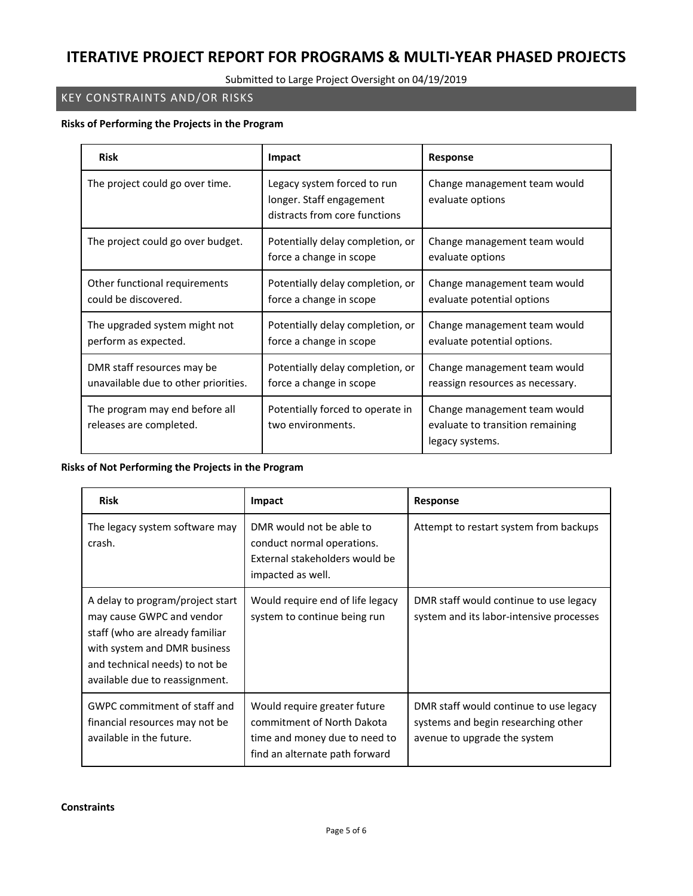### Submitted to Large Project Oversight on 04/19/2019

## KEY CONSTRAINTS AND/OR RISKS

#### **Risks of Performing the Projects in the Program**

| <b>Risk</b>                                                        | Impact                                                                                   | <b>Response</b>                                                                     |  |
|--------------------------------------------------------------------|------------------------------------------------------------------------------------------|-------------------------------------------------------------------------------------|--|
| The project could go over time.                                    | Legacy system forced to run<br>longer. Staff engagement<br>distracts from core functions | Change management team would<br>evaluate options                                    |  |
| The project could go over budget.                                  | Potentially delay completion, or<br>force a change in scope                              | Change management team would<br>evaluate options                                    |  |
| Other functional requirements<br>could be discovered.              | Potentially delay completion, or<br>force a change in scope                              | Change management team would<br>evaluate potential options                          |  |
| The upgraded system might not<br>perform as expected.              | Potentially delay completion, or<br>force a change in scope                              | Change management team would<br>evaluate potential options.                         |  |
| DMR staff resources may be<br>unavailable due to other priorities. | Potentially delay completion, or<br>force a change in scope                              | Change management team would<br>reassign resources as necessary.                    |  |
| The program may end before all<br>releases are completed.          | Potentially forced to operate in<br>two environments.                                    | Change management team would<br>evaluate to transition remaining<br>legacy systems. |  |

### **Risks of Not Performing the Projects in the Program**

| <b>Risk</b>                                                                                                                                                                                          | Impact                                                                                                                        | Response                                                                                                      |
|------------------------------------------------------------------------------------------------------------------------------------------------------------------------------------------------------|-------------------------------------------------------------------------------------------------------------------------------|---------------------------------------------------------------------------------------------------------------|
| The legacy system software may<br>crash.                                                                                                                                                             | DMR would not be able to<br>conduct normal operations.<br>External stakeholders would be<br>impacted as well.                 | Attempt to restart system from backups                                                                        |
| A delay to program/project start<br>may cause GWPC and vendor<br>staff (who are already familiar<br>with system and DMR business<br>and technical needs) to not be<br>available due to reassignment. | Would require end of life legacy<br>system to continue being run                                                              | DMR staff would continue to use legacy<br>system and its labor-intensive processes                            |
| GWPC commitment of staff and<br>financial resources may not be<br>available in the future.                                                                                                           | Would require greater future<br>commitment of North Dakota<br>time and money due to need to<br>find an alternate path forward | DMR staff would continue to use legacy<br>systems and begin researching other<br>avenue to upgrade the system |